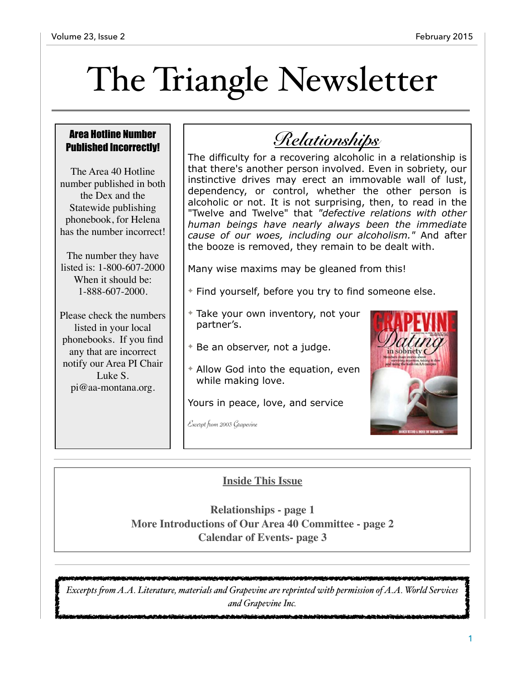# The Triangle Newsletter

### Area Hotline Number Published Incorrectly!

The Area 40 Hotline number published in both the Dex and the Statewide publishing phonebook, for Helena has the number incorrect!

The number they have listed is: 1-800-607-2000 When it should be: 1-888-607-2000.

Please check the numbers listed in your local phonebooks. If you find any that are incorrect notify our Area PI Chair Luke S. [pi@aa-montana.org.](mailto:pi@aa-montana.org)

*Relationships*

The difficulty for a recovering alcoholic in a relationship is that there's another person involved. Even in sobriety, our instinctive drives may erect an immovable wall of lust, dependency, or control, whether the other person is alcoholic or not. It is not surprising, then, to read in the "Twelve and Twelve" that *"defective relations with other human beings have nearly always been the immediate cause of our woes, including our alcoholism."* And after the booze is removed, they remain to be dealt with.

Many wise maxims may be gleaned from this!

- ✦ Find yourself, before you try to find someone else.
- ✦ Take your own inventory, not your partner's.
- ✦ Be an observer, not a judge.
- ✦ Allow God into the equation, even while making love.

Yours in peace, love, and service

Excerpt from 2003 Grapevine



## **Inside This Issue**

**Relationships - page 1 More Introductions of Our Area 40 Committee - page 2 Calendar of Events- page 3**

فالمتواطئ والمتعدد والمراد *Excerpts fom A.A. Literature, materials and Grapevine are reprinted with permission of A.A. World Services and Grapevine Inc.*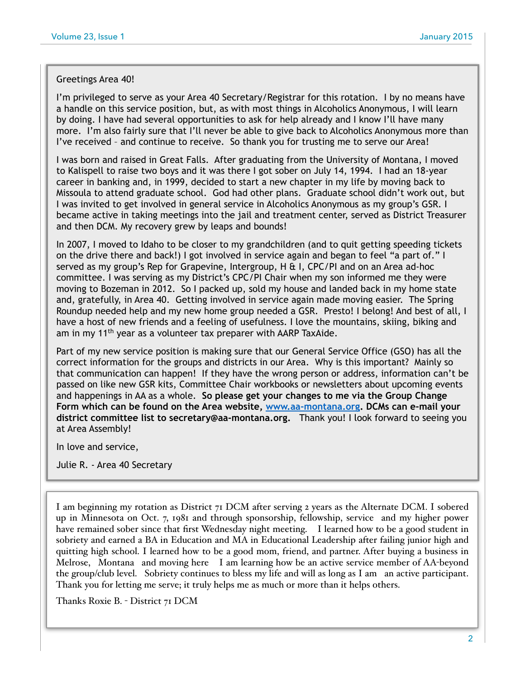#### Greetings Area 40!

I'm privileged to serve as your Area 40 Secretary/Registrar for this rotation. I by no means have a handle on this service position, but, as with most things in Alcoholics Anonymous, I will learn by doing. I have had several opportunities to ask for help already and I know I'll have many more. I'm also fairly sure that I'll never be able to give back to Alcoholics Anonymous more than I've received – and continue to receive. So thank you for trusting me to serve our Area!

I was born and raised in Great Falls. After graduating from the University of Montana, I moved to Kalispell to raise two boys and it was there I got sober on July 14, 1994. I had an 18-year career in banking and, in 1999, decided to start a new chapter in my life by moving back to Missoula to attend graduate school. God had other plans. Graduate school didn't work out, but I was invited to get involved in general service in Alcoholics Anonymous as my group's GSR. I became active in taking meetings into the jail and treatment center, served as District Treasurer and then DCM. My recovery grew by leaps and bounds!

In 2007, I moved to Idaho to be closer to my grandchildren (and to quit getting speeding tickets on the drive there and back!) I got involved in service again and began to feel "a part of." I served as my group's Rep for Grapevine, Intergroup, H  $\&$  I, CPC/PI and on an Area ad-hoc committee. I was serving as my District's CPC/PI Chair when my son informed me they were moving to Bozeman in 2012. So I packed up, sold my house and landed back in my home state and, gratefully, in Area 40. Getting involved in service again made moving easier. The Spring Roundup needed help and my new home group needed a GSR. Presto! I belong! And best of all, I have a host of new friends and a feeling of usefulness. I love the mountains, skiing, biking and am in my 11<sup>th</sup> year as a volunteer tax preparer with AARP TaxAide.

Part of my new service position is making sure that our General Service Office (GSO) has all the correct information for the groups and districts in our Area. Why is this important? Mainly so that communication can happen! If they have the wrong person or address, information can't be passed on like new GSR kits, Committee Chair workbooks or newsletters about upcoming events and happenings in AA as a whole. **So please get your changes to me via the Group Change Form which can be found on the Area website, [www.aa-montana.org.](http://www.aa-montana.org) DCMs can e-mail your district committee list to secretary@aa-montana.org.** Thank you! I look forward to seeing you at Area Assembly!

In love and service,

Julie R. - Area 40 Secretary

I am beginning my rotation as District 71 DCM after serving 2 years as the Alternate DCM. I sobered up in Minnesota on Oct. 7, 1981 and through sponsorship, fellowship, service and my higher power have remained sober since that first Wednesday night meeting. I learned how to be a good student in sobriety and earned a BA in Education and MA in Educational Leadership after failing junior high and quitting high school. I learned how to be a good mom, friend, and partner. After buying a business in Melrose, Montana and moving here I am learning how be an active service member of AA-beyond the group/club level. Sobriety continues to bless my life and will as long as I am an active participant. Thank you for letting me serve; it truly helps me as much or more than it helps others.

Thanks Roxie B. - District 71 DCM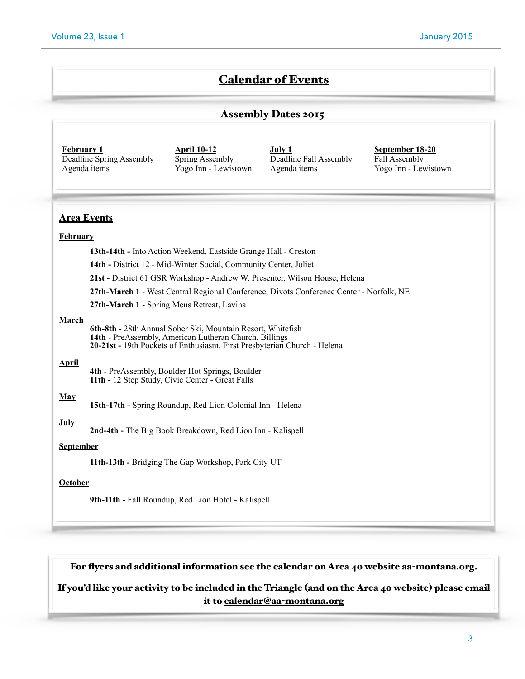## Calendar of Events

#### Assembly Dates 2015

| <b>February 1</b>        |
|--------------------------|
| Deadline Spring Assembly |
| Agenda items             |

**April 10-12**  Spring Assembly Yogo Inn - Lewistown

**July 1**  Deadline Fall Assembly Agenda items

**September 18-20**  Fall Assembly Yogo Inn - Lewistown

## **Area Events February**

**13th-14th -** Into Action Weekend, Eastside Grange Hall - Creston

**14th -** District 12 - Mid-Winter Social, Community Center, Joliet

**21st -** District 61 GSR Workshop - Andrew W. Presenter, Wilson House, Helena

**27th-March 1** - West Central Regional Conference, Divots Conference Center - Norfolk, NE

**27th-March 1** - Spring Mens Retreat, Lavina

#### **March**

**6th-8th -** 28th Annual Sober Ski, Mountain Resort, Whitefish **14th** - PreAssembly, American Lutheran Church, Billings **20-21st -** 19th Pockets of Enthusiasm, First Presbyterian Church - Helena

#### **April**

**4th** - PreAssembly, Boulder Hot Springs, Boulder **11th -** 12 Step Study, Civic Center - Great Falls

#### **May**

**15th-17th -** Spring Roundup, Red Lion Colonial Inn - Helena

**July 2nd-4th -** The Big Book Breakdown, Red Lion Inn - Kalispell

#### **September**

**11th-13th -** Bridging The Gap Workshop, Park City UT

#### **October**

**9th-11th -** Fall Roundup, Red Lion Hotel - Kalispell

#### For flyers and additional information see the calendar on Area 40 website aa-montana.org.

#### If you'd like your activity to be included in the Triangle (and on the Area 40 website) please email it to calendar@aa-[montana.org](mailto:calendar@aa-montana.org)